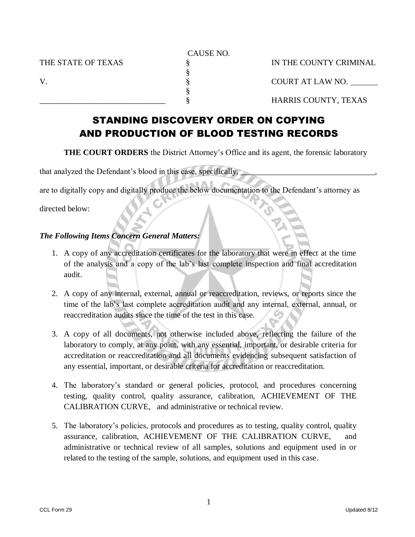CAUSE NO. THE STATE OF TEXAS  $\S$  IN THE COUNTY CRIMINAL § V. S. S. S. COURT AT LAW NO. § \_\_\_\_\_\_\_\_\_\_\_\_\_\_\_\_\_\_\_\_\_\_\_\_\_\_\_\_\_\_\_ § HARRIS COUNTY, TEXAS

# STANDING DISCOVERY ORDER ON COPYING AND PRODUCTION OF BLOOD TESTING RECORDS

**THE COURT ORDERS** the District Attorney's Office and its agent, the forensic laboratory

that analyzed the Defendant's blood in this case, specifically,

are to digitally copy and digitally produce the below documentation to the Defendant's attorney as

directed below:

## *The Following Items Concern General Matters:*

- 1. A copy of any accreditation certificates for the laboratory that were in effect at the time of the analysis and a copy of the lab's last complete inspection and final accreditation audit.
- 2. A copy of any internal, external, annual or reaccreditation, reviews, or reports since the time of the lab's last complete accreditation audit and any internal, external, annual, or reaccreditation audits since the time of the test in this case.
- 3. A copy of all documents, not otherwise included above, reflecting the failure of the laboratory to comply, at any point, with any essential, important, or desirable criteria for accreditation or reaccreditation and all documents evidencing subsequent satisfaction of any essential, important, or desirable criteria for accreditation or reaccreditation.
- 4. The laboratory's standard or general policies, protocol, and procedures concerning testing, quality control, quality assurance, calibration, ACHIEVEMENT OF THE CALIBRATION CURVE, and administrative or technical review.
- 5. The laboratory's policies, protocols and procedures as to testing, quality control, quality assurance, calibration, ACHIEVEMENT OF THE CALIBRATION CURVE, and administrative or technical review of all samples, solutions and equipment used in or related to the testing of the sample, solutions, and equipment used in this case.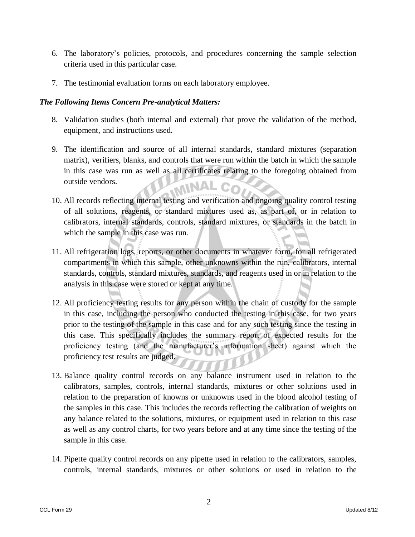- 6. The laboratory's policies, protocols, and procedures concerning the sample selection criteria used in this particular case.
- 7. The testimonial evaluation forms on each laboratory employee.

# *The Following Items Concern Pre-analytical Matters:*

- 8. Validation studies (both internal and external) that prove the validation of the method, equipment, and instructions used.
- 9. The identification and source of all internal standards, standard mixtures (separation matrix), verifiers, blanks, and controls that were run within the batch in which the sample in this case was run as well as all certificates relating to the foregoing obtained from outside vendors.
- 10. All records reflecting internal testing and verification and ongoing quality control testing of all solutions, reagents, or standard mixtures used as, as part of, or in relation to calibrators, internal standards, controls, standard mixtures, or standards in the batch in which the sample in this case was run.
- 11. All refrigeration logs, reports, or other documents in whatever form, for all refrigerated compartments in which this sample, other unknowns within the run, calibrators, internal standards, controls, standard mixtures, standards, and reagents used in or in relation to the analysis in this case were stored or kept at any time.
- 12. All proficiency testing results for any person within the chain of custody for the sample in this case, including the person who conducted the testing in this case, for two years prior to the testing of the sample in this case and for any such testing since the testing in this case. This specifically includes the summary report of expected results for the proficiency testing (and the manufacturer's information sheet) against which the proficiency test results are judged.
- 13. Balance quality control records on any balance instrument used in relation to the calibrators, samples, controls, internal standards, mixtures or other solutions used in relation to the preparation of knowns or unknowns used in the blood alcohol testing of the samples in this case. This includes the records reflecting the calibration of weights on any balance related to the solutions, mixtures, or equipment used in relation to this case as well as any control charts, for two years before and at any time since the testing of the sample in this case.
- 14. Pipette quality control records on any pipette used in relation to the calibrators, samples, controls, internal standards, mixtures or other solutions or used in relation to the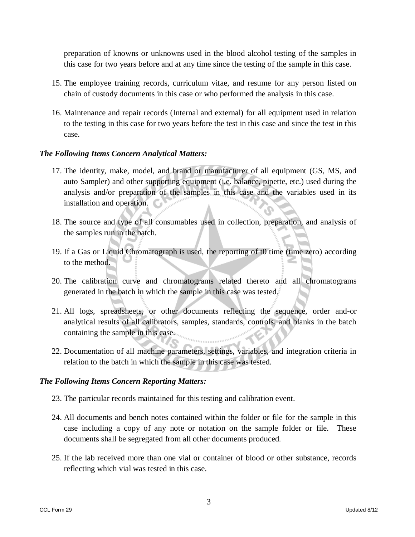preparation of knowns or unknowns used in the blood alcohol testing of the samples in this case for two years before and at any time since the testing of the sample in this case.

- 15. The employee training records, curriculum vitae, and resume for any person listed on chain of custody documents in this case or who performed the analysis in this case.
- 16. Maintenance and repair records (Internal and external) for all equipment used in relation to the testing in this case for two years before the test in this case and since the test in this case.

#### *The Following Items Concern Analytical Matters:*

- 17. The identity, make, model, and brand or manufacturer of all equipment (GS, MS, and auto Sampler) and other supporting equipment (i.e. balance, pipette, etc.) used during the analysis and/or preparation of the samples in this case and the variables used in its installation and operation.
- 18. The source and type of all consumables used in collection, preparation, and analysis of the samples run in the batch.
- 19. If a Gas or Liquid Chromatograph is used, the reporting of t0 time (time zero) according to the method.
- 20. The calibration curve and chromatograms related thereto and all chromatograms generated in the batch in which the sample in this case was tested.
- 21. All logs, spreadsheets, or other documents reflecting the sequence, order and-or analytical results of all calibrators, samples, standards, controls, and blanks in the batch containing the sample in this case.
- 22. Documentation of all machine parameters, settings, variables, and integration criteria in relation to the batch in which the sample in this case was tested.

## *The Following Items Concern Reporting Matters:*

- 23. The particular records maintained for this testing and calibration event.
- 24. All documents and bench notes contained within the folder or file for the sample in this case including a copy of any note or notation on the sample folder or file. These documents shall be segregated from all other documents produced.
- 25. If the lab received more than one vial or container of blood or other substance, records reflecting which vial was tested in this case.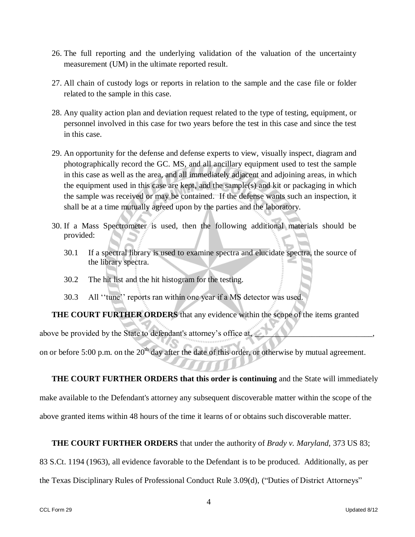- 26. The full reporting and the underlying validation of the valuation of the uncertainty measurement (UM) in the ultimate reported result.
- 27. All chain of custody logs or reports in relation to the sample and the case file or folder related to the sample in this case.
- 28. Any quality action plan and deviation request related to the type of testing, equipment, or personnel involved in this case for two years before the test in this case and since the test in this case.
- 29. An opportunity for the defense and defense experts to view, visually inspect, diagram and photographically record the GC. MS, and all ancillary equipment used to test the sample in this case as well as the area, and all immediately adjacent and adjoining areas, in which the equipment used in this case are kept, and the sample(s) and kit or packaging in which the sample was received or may be contained. If the defense wants such an inspection, it shall be at a time mutually agreed upon by the parties and the laboratory.
- 30. If a Mass Spectrometer is used, then the following additional materials should be provided:
	- 30.1 If a spectral library is used to examine spectra and elucidate spectra, the source of the library spectra.
	- 30.2 The hit list and the hit histogram for the testing.
	- 30.3 All ''tune'' reports ran within one year if a MS detector was used.

**THE COURT FURTHER ORDERS** that any evidence within the scope of the items granted

above be provided by the State to defendant's attorney's office at,

on or before 5:00 p.m. on the  $20<sup>th</sup>$  day after the date of this order, or otherwise by mutual agreement.

**THE COURT FURTHER ORDERS that this order is continuing** and the State will immediately make available to the Defendant's attorney any subsequent discoverable matter within the scope of the above granted items within 48 hours of the time it learns of or obtains such discoverable matter.

**THE COURT FURTHER ORDERS** that under the authority of *Brady v. Maryland,* 373 US 83;

83 S.Ct. 1194 (1963), all evidence favorable to the Defendant is to be produced. Additionally, as per

the Texas Disciplinary Rules of Professional Conduct Rule 3.09(d), ("Duties of District Attorneys"